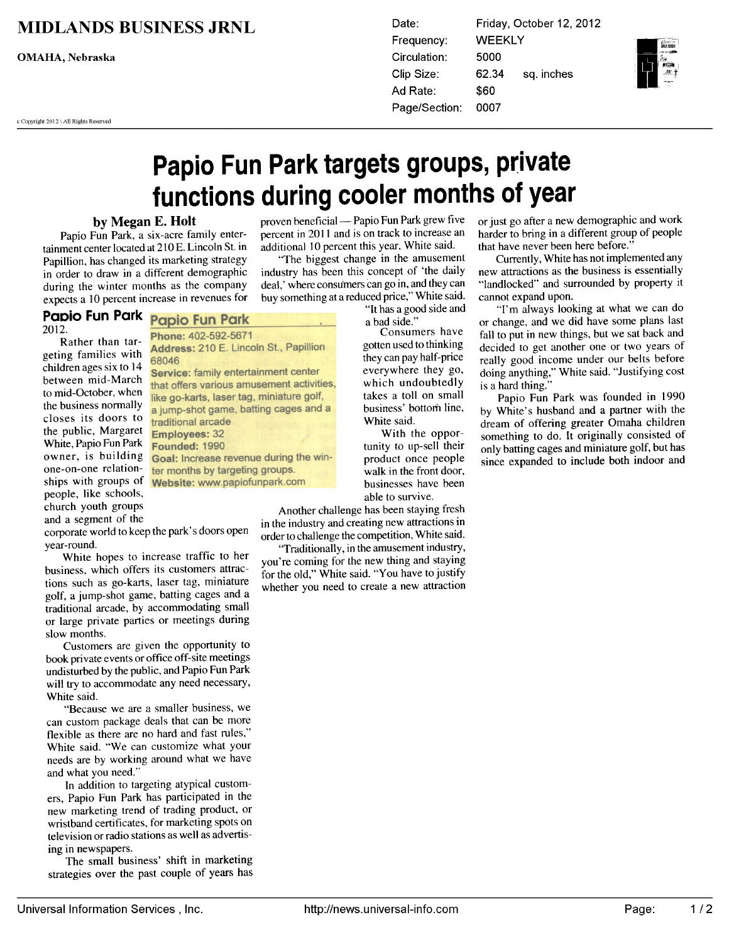## **MIDLANDS BUSINESS JRNL**

**OMAHA**, Nebraska

c Copyright 2012 \ All Rights Reserved

Date: Friday, October 12, 2012 **WEEKLY** Frequency: Circulation: 5000 62.34 Clip Size: sq. inches Ad Rate: \$60 0007 Page/Section:



# Papio Fun Park targets groups, private functions during cooler months of year

### by Megan E. Holt

Papio Fun Park, a six-acre family entertainment center located at <sup>210</sup> E. Lincoln St. in Papillion, has changed its marketing strategy in order to draw in a different demographic during the winter months as the company expects <sup>10</sup> percent increase in revenues for

#### Papio Fun Park **Papio Fun Park**

2012.

Rather than targeting families with children ages six to <sup>14</sup> between mid-March to mid-October, when the business normally closes its doors to the public, Margaret White, Papio Fun Park owner, is building one-on-one relationships with groups of people, like schools, church youth groups and a segment of the

Phone: 402-592-5671 Address: 210 E. Lincoln St., Papillion 68046 Service: family entertainment center that offers various amusement activities, like go-karts, laser tag, miniature golf, a jump-shot game, batting cages and a traditional arcade **Employees: 32 Founded: 1990** Goal: Increase revenue during the winter months by targeting groups. Website: www.papiofunpark.com

corporate world to keep the park's doors open year-round.

White hopes to increase traffic to her business, which offers its customers attractions such as go-karts, laser tag, miniature golf, a jump-shot game, batting cages and a traditional arcade, by accommodating small or large private parties or meetings during slow months.

Customers are given the opportunity to book private events or office off-site meetings undisturbed by the public, and Papio Fun Park will try to accommodate any need necessary, White said.

"Because we are a smaller business, we can custom package deals that can be more flexible as there are no hard and fast rules," White said. "We can customize what your needs are by working around what we have and what you need."

In addition to targeting atypical customers, Papio Fun Park has participated in the new marketing trend of trading product, or wristband certificates, for marketing spots on television or radio stations as well as advertising in newspapers.

The small business' shift in marketing strategies over the past couple of years has

proven beneficial - Papio Fun Park grew five percent in 2011 and is on track to increase an additional 10 percent this year, White said.

"The biggest change in the amusement industry has been this concept of 'the daily deal,' where consumers can go in, and they can buy something at a reduced price," White said.

"It has a good side and a bad side."

Consumers have gotten used to thinking they can pay half-price everywhere they go, which undoubtedly takes a toll on small business' bottom line, White said.

With the opportunity to up-sell their product once people walk in the front door, businesses have been able to survive.

Another challenge has been staying fresh in the industry and creating new attractions in order to challenge the competition, White said.

"Traditionally, in the amusement industry, you're coming for the new thing and staying for the old," White said. "You have to justify whether you need to create a new attraction or just go after a new demographic and work harder to bring in a different group of people that have never been here before.'

Currently, White has not implemented any new attractions as the business is essentially "landlocked" and surrounded by property it cannot expand upon.

"I'm always looking at what we can do or change, and we did have some plans last fall to put in new things, but we sat back and decided to get another one or two years of really good income under our belts before doing anything," White said. "Justifying cost is a hard thing."

Papio Fun Park was founded in 1990 by White's husband and a partner with the dream of offering greater Omaha children something to do. It originally consisted of only batting cages and miniature golf, but has since expanded to include both indoor and